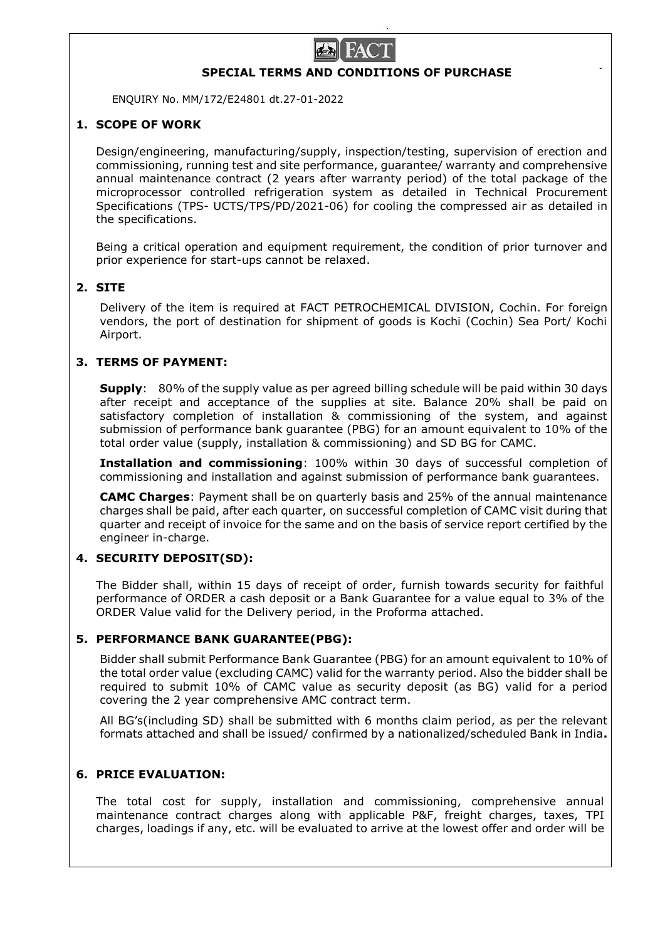

## **SPECIAL TERMS AND CONDITIONS OF PURCHASE**

ENQUIRY No. MM/172/E24801 dt.27-01-2022

# **1. SCOPE OF WORK**

Design/engineering, manufacturing/supply, inspection/testing, supervision of erection and commissioning, running test and site performance, guarantee/ warranty and comprehensive annual maintenance contract (2 years after warranty period) of the total package of the microprocessor controlled refrigeration system as detailed in Technical Procurement Specifications (TPS- UCTS/TPS/PD/2021-06) for cooling the compressed air as detailed in the specifications.

Being a critical operation and equipment requirement, the condition of prior turnover and prior experience for start-ups cannot be relaxed.

### **2. SITE**

Delivery of the item is required at FACT PETROCHEMICAL DIVISION, Cochin. For foreign vendors, the port of destination for shipment of goods is Kochi (Cochin) Sea Port/ Kochi Airport.

### **3. TERMS OF PAYMENT:**

**Supply**: 80% of the supply value as per agreed billing schedule will be paid within 30 days after receipt and acceptance of the supplies at site. Balance 20% shall be paid on satisfactory completion of installation & commissioning of the system, and against submission of performance bank guarantee (PBG) for an amount equivalent to 10% of the total order value (supply, installation & commissioning) and SD BG for CAMC.

**Installation and commissioning**: 100% within 30 days of successful completion of commissioning and installation and against submission of performance bank guarantees.

**CAMC Charges**: Payment shall be on quarterly basis and 25% of the annual maintenance charges shall be paid, after each quarter, on successful completion of CAMC visit during that quarter and receipt of invoice for the same and on the basis of service report certified by the engineer in-charge.

### **4. SECURITY DEPOSIT(SD):**

The Bidder shall, within 15 days of receipt of order, furnish towards security for faithful performance of ORDER a cash deposit or a Bank Guarantee for a value equal to 3% of the ORDER Value valid for the Delivery period, in the Proforma attached.

### **5. PERFORMANCE BANK GUARANTEE(PBG):**

Bidder shall submit Performance Bank Guarantee (PBG) for an amount equivalent to 10% of the total order value (excluding CAMC) valid for the warranty period. Also the bidder shall be required to submit 10% of CAMC value as security deposit (as BG) valid for a period covering the 2 year comprehensive AMC contract term.

All BG's(including SD) shall be submitted with 6 months claim period, as per the relevant formats attached and shall be issued/ confirmed by a nationalized/scheduled Bank in India**.**

### **6. PRICE EVALUATION:**

The total cost for supply, installation and commissioning, comprehensive annual maintenance contract charges along with applicable P&F, freight charges, taxes, TPI charges, loadings if any, etc. will be evaluated to arrive at the lowest offer and order will be